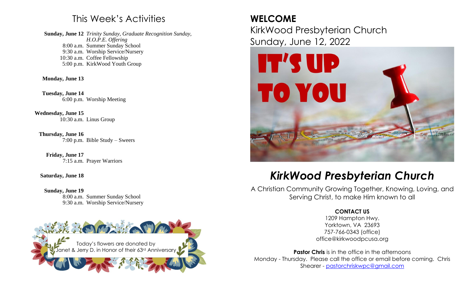## This Week's Activities

**Sunday, June 12**  *Trinity Sunday, Graduate Recognition Sunday,*  8:00 a.m. Summer Sunday School 9:30 a.m. Worship Service/Nursery 10:30 a.m. Coffee Fellowship 5:00 p.m. KirkWood Youth Group *H.O.P.E. Offering*

**Monday, June 13**

**Tuesday, June 14** 6:00 p.m. Worship Meeting

**Wednesday, June 15** 10:30 a.m. Linus Group

**Thursday, June 16** 7:00 p.m. Bible Study – Sweers

**Friday, June 17** 7:15 a.m. Prayer Warriors

**Saturday, June 18**

**Sunday, June 19**  8:00 a.m. Summer Sunday School 9:30 a.m. Worship Service/Nursery



# **WELCOME**

KirkWood Presbyterian Church Sunday, June 12, 2022



# *KirkWood Presbyterian Church*

A Christian Community Growing Together, Knowing, Loving, and Serving Christ, to make Him known to all

### **CONTACT US**

1209 Hampton Hwy. Yorktown, VA 23693 757-766-0343 (office) office@kirkwoodpcusa.org

**Pastor Chris** is in the office in the afternoons Monday - Thursday. Please call the office or email before coming. Chris Shearer - [pastorchriskwpc@gmail.com](mailto:pastorchriskwpc@gmail.com)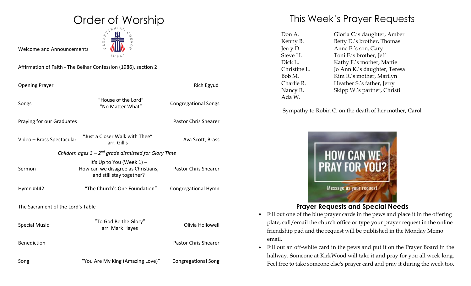

Welcome and Announcements

Affirmation of Faith - The Belhar Confession (1986), section 2

| <b>Opening Prayer</b>                                     |                                                                                             | Rich Egyud                  |  |
|-----------------------------------------------------------|---------------------------------------------------------------------------------------------|-----------------------------|--|
| Songs                                                     | "House of the Lord"<br>"No Matter What"                                                     | <b>Congregational Songs</b> |  |
| Praying for our Graduates                                 |                                                                                             | <b>Pastor Chris Shearer</b> |  |
| Video - Brass Spectacular                                 | "Just a Closer Walk with Thee"<br>arr. Gillis                                               | Ava Scott, Brass            |  |
| Children ages $3 - 2^{nd}$ grade dismissed for Glory Time |                                                                                             |                             |  |
| Sermon                                                    | It's Up to You (Week 1) -<br>How can we disagree as Christians,<br>and still stay together? | <b>Pastor Chris Shearer</b> |  |
| Hymn #442                                                 | "The Church's One Foundation"                                                               | Congregational Hymn         |  |
| The Sacrament of the Lord's Table                         |                                                                                             |                             |  |
| <b>Special Music</b>                                      | "To God Be the Glory"<br>arr. Mark Hayes                                                    | Olivia Hollowell            |  |
| <b>Benediction</b>                                        |                                                                                             | <b>Pastor Chris Shearer</b> |  |
| Song                                                      | "You Are My King (Amazing Love)"                                                            | <b>Congregational Song</b>  |  |

## This Week's Prayer Requests

| Don A.       | Gloria C.'s daughter, Amber  |  |
|--------------|------------------------------|--|
| Kenny B.     | Betty D.'s brother, Thomas   |  |
| Jerry D.     | Anne E's son, Gary           |  |
| Steve H.     | Toni F.'s brother, Jeff      |  |
| Dick L.      | Kathy F.'s mother, Mattie    |  |
| Christine L. | Jo Ann K.'s daughter, Teresa |  |
| Bob M.       | Kim R.'s mother, Marilyn     |  |
| Charlie R.   | Heather S.'s father, Jerry   |  |
| Nancy R.     | Skipp W.'s partner, Christi  |  |
| Ada W.       |                              |  |

Sympathy to Robin C. on the death of her mother, Carol



### **Prayer Requests and Special Needs**

- Fill out one of the blue prayer cards in the pews and place it in the offering plate, call/email the church office or type your prayer request in the online friendship pad and the request will be published in the Monday Memo email.
- Fill out an off-white card in the pews and put it on the Prayer Board in the hallway. Someone at KirkWood will take it and pray for you all week long. Feel free to take someone else's prayer card and pray it during the week too.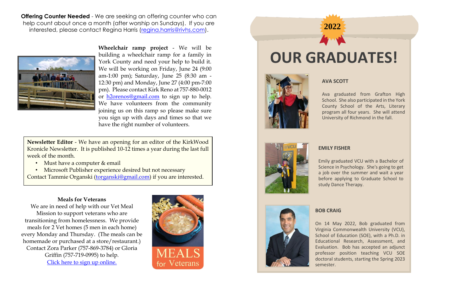**Offering Counter Needed** - We are seeking an offering counter who can help count about once a month (after worship on Sundays). If you are interested, please contact Regina Harris [\(regina.harris@rivhs.com\)](mailto:regina.harris@rivhs.com).



**Wheelchair ramp project** - We will be building a wheelchair ramp for a family in York County and need your help to build it. We will be working on Friday, June 24 (9:00 am-1:00 pm); Saturday, June 25 (8:30 am - 12:30 pm) and Monday, June 27 (4:00 pm-7:00 pm). Please contact Kirk Reno at 757-880-0012 or [h2orenos@gmail.com](mailto:h2orenos@gmail.com) to sign up to help. We have volunteers from the community joining us on this ramp so please make sure you sign up with days and times so that we have the right number of volunteers.

**Newsletter Editor** - We have an opening for an editor of the KirkWood Kronicle Newsletter. It is published 10-12 times a year during the last full week of the month.

- Must have a computer & email
- Microsoft Publisher experience desired but not necessary

Contact Tammie Organski [\(torganski@gmail.com\)](mailto:torganski@gmail.com) if you are interested.

### **Meals for Veterans**

We are in need of help with our Vet Meal Mission to support veterans who are transitioning from homelessness. We provide meals for 2 Vet homes (5 men in each home) every Monday and Thursday. (The meals can be homemade or purchased at a store/restaurant.) Contact Zora Parker (757-869-3784) or Gloria Griffin (757-719-0995) to help. [Click here to sign up online.](https://www.signupgenius.com/go/4090849a5a62ea0f58-meals)



# **OUR GRADUATES!**

**2022**



### **AVA SCOTT**

Ava graduated from Grafton High School. She also participated in the York County School of the Arts, Literary program all four years. She will attend University of Richmond in the fall.



### **EMILY FISHER**

Emily graduated VCU with a Bachelor of Science in Psychology. She's going to get a job over the summer and wait a year before applying to Graduate School to study Dance Therapy.



#### **BOB CRAIG**

On 14 May 2022, Bob graduated from Virginia Commonwealth University (VCU), School of Education (SOE), with a Ph.D. in Educational Research, Assessment, and Evaluation. Bob has accepted an adjunct professor position teaching VCU SOE doctoral students, starting the Spring 2023 semester.